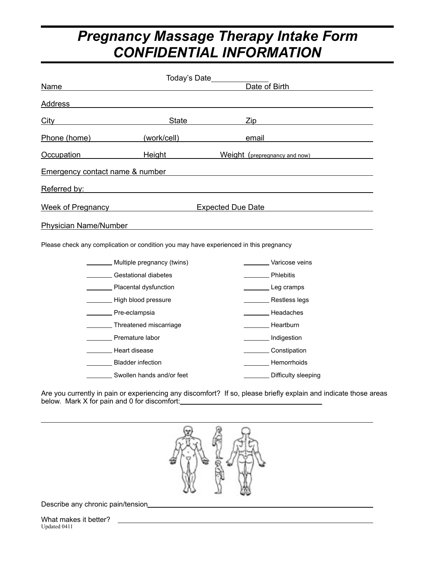# *Pregnancy Massage Therapy Intake Form CONFIDENTIAL INFORMATION*

| Name                                                                                  | Today's Date<br>Date of Birth                                 |                          |                                      |  |  |  |
|---------------------------------------------------------------------------------------|---------------------------------------------------------------|--------------------------|--------------------------------------|--|--|--|
|                                                                                       |                                                               |                          |                                      |  |  |  |
| Address                                                                               | <u> 1980 - Andrea Stadt Britain, amerikansk politiker (</u>   |                          |                                      |  |  |  |
| City                                                                                  | State                                                         |                          | Zip                                  |  |  |  |
| Phone (home)                                                                          | (work/cell)                                                   |                          | email                                |  |  |  |
| <b>Occupation</b>                                                                     |                                                               |                          | Height Meight (prepregnancy and now) |  |  |  |
| <b>Emergency contact name &amp; number</b>                                            |                                                               |                          |                                      |  |  |  |
| Referred by:                                                                          |                                                               |                          |                                      |  |  |  |
|                                                                                       | Week of Pregnancy New York Changes and Security Assembly      | <b>Expected Due Date</b> |                                      |  |  |  |
| <b>Physician Name/Number</b>                                                          | <u> 1989 - Johann Barbara, markazar margaretar (h. 1989).</u> |                          |                                      |  |  |  |
| Please check any complication or condition you may have experienced in this pregnancy |                                                               |                          |                                      |  |  |  |
|                                                                                       | Multiple pregnancy (twins)                                    |                          | Varicose veins                       |  |  |  |
|                                                                                       | Gestational diabetes                                          |                          | <b>Example</b> Phlebitis             |  |  |  |
|                                                                                       | Placental dysfunction                                         |                          | Leg cramps                           |  |  |  |
|                                                                                       | High blood pressure                                           |                          | Restless legs                        |  |  |  |
|                                                                                       | Pre-eclampsia                                                 |                          | Headaches                            |  |  |  |
|                                                                                       | Threatened miscarriage                                        |                          | Heartburn                            |  |  |  |
|                                                                                       | Premature labor                                               |                          | Indigestion                          |  |  |  |
|                                                                                       | Heart disease                                                 |                          | Constipation                         |  |  |  |
|                                                                                       | Bladder infection                                             |                          | Hemorrhoids                          |  |  |  |
|                                                                                       | Swollen hands and/or feet                                     |                          | Difficulty sleeping                  |  |  |  |

Are you currently in pain or experiencing any discomfort? If so, please briefly explain and indicate those areas below. Mark X for pain and 0 for discomfort:



Describe any chronic pain/tension

 $\overline{a}$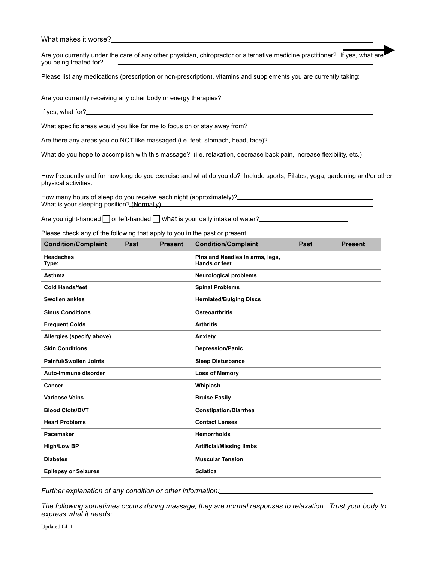What makes it worse?

Are you currently under the care of any other physician, chiropractor or alternative medicine practitioner? If yes, what are you being treated for?

Please list any medications (prescription or non-prescription), vitamins and supplements you are currently taking:

Are you currently receiving any other body or energy therapies?<br>
<u>Are you currently receiving</u> any other body or energy therapies?

If yes, what for?\_

 $\overline{a}$ 

 $\overline{a}$ 

What specific areas would you like for me to focus on or stay away from?

Are there any areas you do NOT like massaged (i.e. feet, stomach, head, face)?

What do you hope to accomplish with this massage? (i.e. relaxation, decrease back pain, increase flexibility, etc.)

How frequently and for how long do you exercise and what do you do? Include sports, Pilates, yoga, gardening and/or other physical activities:

How many hours of sleep do you receive each night (approximately)?\_\_\_ What is your sleeping position? (Normally)

Are you right-handed  $\Box$  or left-handed  $\Box$  what is your daily intake of water?

Please check any of the following that apply to you in the past or present:

| <b>Condition/Complaint</b>    | <b>Past</b> | <b>Present</b> | <b>Condition/Complaint</b>                              | Past | <b>Present</b> |
|-------------------------------|-------------|----------------|---------------------------------------------------------|------|----------------|
| <b>Headaches</b><br>Type:     |             |                | Pins and Needles in arms, legs,<br><b>Hands or feet</b> |      |                |
| <b>Asthma</b>                 |             |                | <b>Neurological problems</b>                            |      |                |
| <b>Cold Hands/feet</b>        |             |                | <b>Spinal Problems</b>                                  |      |                |
| <b>Swollen ankles</b>         |             |                | <b>Herniated/Bulging Discs</b>                          |      |                |
| <b>Sinus Conditions</b>       |             |                | <b>Osteoarthritis</b>                                   |      |                |
| <b>Frequent Colds</b>         |             |                | <b>Arthritis</b>                                        |      |                |
| Allergies (specify above)     |             |                | Anxiety                                                 |      |                |
| <b>Skin Conditions</b>        |             |                | <b>Depression/Panic</b>                                 |      |                |
| <b>Painful/Swollen Joints</b> |             |                | <b>Sleep Disturbance</b>                                |      |                |
| Auto-immune disorder          |             |                | <b>Loss of Memory</b>                                   |      |                |
| Cancer                        |             |                | Whiplash                                                |      |                |
| <b>Varicose Veins</b>         |             |                | <b>Bruise Easily</b>                                    |      |                |
| <b>Blood Clots/DVT</b>        |             |                | <b>Constipation/Diarrhea</b>                            |      |                |
| <b>Heart Problems</b>         |             |                | <b>Contact Lenses</b>                                   |      |                |
| Pacemaker                     |             |                | <b>Hemorrhoids</b>                                      |      |                |
| <b>High/Low BP</b>            |             |                | <b>Artificial/Missing limbs</b>                         |      |                |
| <b>Diabetes</b>               |             |                | <b>Muscular Tension</b>                                 |      |                |
| <b>Epilepsy or Seizures</b>   |             |                | <b>Sciatica</b>                                         |      |                |

*Further explanation of any condition or other information:* 

*The following sometimes occurs during massage; they are normal responses to relaxation. Trust your body to express what it needs:* 

Updated 0411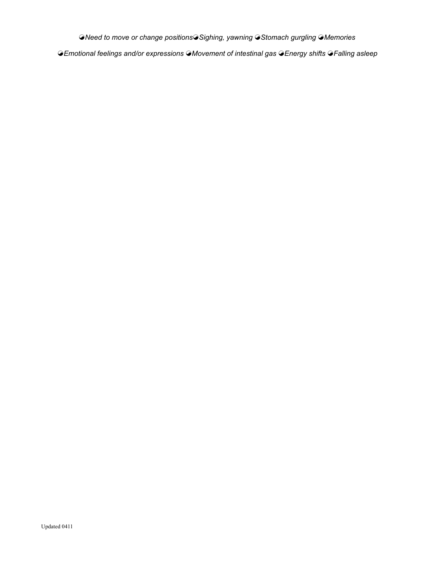☯*Need to move or change positions*☯*Sighing, yawning* ☯*Stomach gurgling* ☯*Memories* 

☯*Emotional feelings and/or expressions* ☯*Movement of intestinal gas* ☯*Energy shifts* ☯*Falling asleep*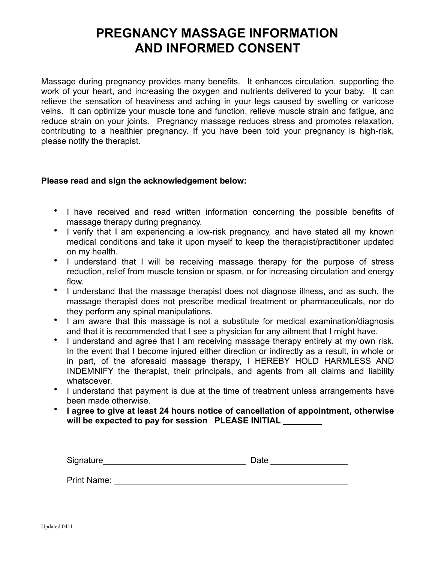### **PREGNANCY MASSAGE INFORMATION AND INFORMED CONSENT**

Massage during pregnancy provides many benefits. It enhances circulation, supporting the work of your heart, and increasing the oxygen and nutrients delivered to your baby. It can relieve the sensation of heaviness and aching in your legs caused by swelling or varicose veins. It can optimize your muscle tone and function, relieve muscle strain and fatigue, and reduce strain on your joints. Pregnancy massage reduces stress and promotes relaxation, contributing to a healthier pregnancy. If you have been told your pregnancy is high-risk, please notify the therapist.

#### **Please read and sign the acknowledgement below:**

- I have received and read written information concerning the possible benefits of massage therapy during pregnancy.
- I verify that I am experiencing a low-risk pregnancy, and have stated all my known medical conditions and take it upon myself to keep the therapist/practitioner updated on my health.
- I understand that I will be receiving massage therapy for the purpose of stress reduction, relief from muscle tension or spasm, or for increasing circulation and energy flow.
- I understand that the massage therapist does not diagnose illness, and as such, the massage therapist does not prescribe medical treatment or pharmaceuticals, nor do they perform any spinal manipulations.
- I am aware that this massage is not a substitute for medical examination/diagnosis and that it is recommended that I see a physician for any ailment that I might have.
- I understand and agree that I am receiving massage therapy entirely at my own risk. In the event that I become injured either direction or indirectly as a result, in whole or in part, of the aforesaid massage therapy, I HEREBY HOLD HARMLESS AND INDEMNIFY the therapist, their principals, and agents from all claims and liability whatsoever.
- I understand that payment is due at the time of treatment unless arrangements have been made otherwise.
- **I agree to give at least 24 hours notice of cancellation of appointment, otherwise will be expected to pay for session PLEASE INITIAL**

| Signature | )ate |
|-----------|------|
|           |      |
|           |      |

Print Name: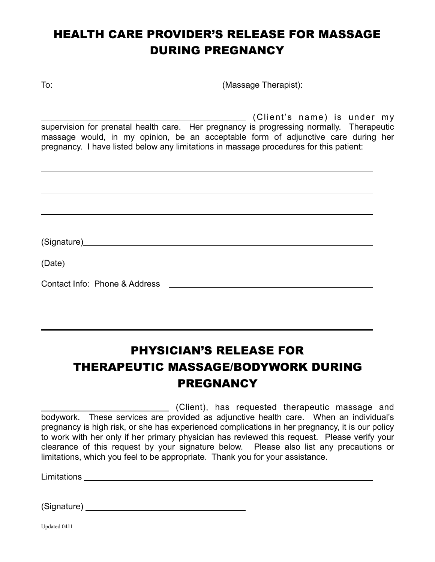## HEALTH CARE PROVIDER'S RELEASE FOR MASSAGE DURING PREGNANCY

To: (Massage Therapist):

 (Client's name) is under my supervision for prenatal health care. Her pregnancy is progressing normally. Therapeutic massage would, in my opinion, be an acceptable form of adjunctive care during her pregnancy. I have listed below any limitations in massage procedures for this patient:

## PHYSICIAN'S RELEASE FOR THERAPEUTIC MASSAGE/BODYWORK DURING **PREGNANCY**

(Client), has requested therapeutic massage and bodywork. These services are provided as adjunctive health care. When an individual's pregnancy is high risk, or she has experienced complications in her pregnancy, it is our policy to work with her only if her primary physician has reviewed this request. Please verify your clearance of this request by your signature below. Please also list any precautions or limitations, which you feel to be appropriate. Thank you for your assistance.

Limitations

 $\overline{a}$ 

(Signature)

Updated 0411